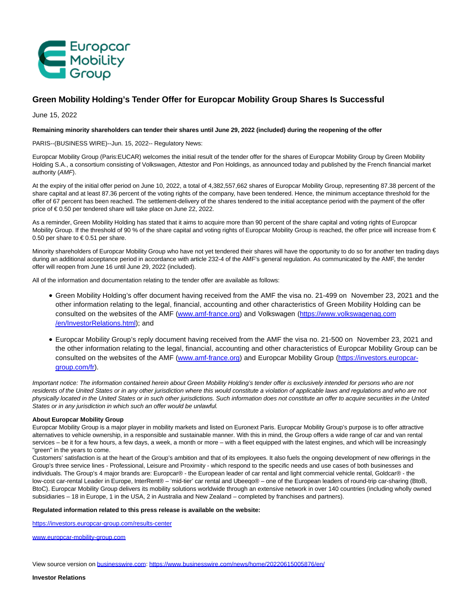

# **Green Mobility Holding's Tender Offer for Europcar Mobility Group Shares Is Successful**

June 15, 2022

### **Remaining minority shareholders can tender their shares until June 29, 2022 (included) during the reopening of the offer**

PARIS--(BUSINESS WIRE)--Jun. 15, 2022-- Regulatory News:

Europcar Mobility Group (Paris:EUCAR) welcomes the initial result of the tender offer for the shares of Europcar Mobility Group by Green Mobility Holding S.A., a consortium consisting of Volkswagen, Attestor and Pon Holdings, as announced today and published by the French financial market authority (AMF).

At the expiry of the initial offer period on June 10, 2022, a total of 4,382,557,662 shares of Europcar Mobility Group, representing 87.38 percent of the share capital and at least 87.36 percent of the voting rights of the company, have been tendered. Hence, the minimum acceptance threshold for the offer of 67 percent has been reached. The settlement-delivery of the shares tendered to the initial acceptance period with the payment of the offer price of € 0.50 per tendered share will take place on June 22, 2022.

As a reminder, Green Mobility Holding has stated that it aims to acquire more than 90 percent of the share capital and voting rights of Europcar Mobility Group. If the threshold of 90 % of the share capital and voting rights of Europcar Mobility Group is reached, the offer price will increase from € 0.50 per share to  $\in$  0.51 per share.

Minority shareholders of Europcar Mobility Group who have not yet tendered their shares will have the opportunity to do so for another ten trading days during an additional acceptance period in accordance with article 232-4 of the AMF's general regulation. As communicated by the AMF, the tender offer will reopen from June 16 until June 29, 2022 (included).

All of the information and documentation relating to the tender offer are available as follows:

- Green Mobility Holding's offer document having received from the AMF the visa no. 21-499 on November 23, 2021 and the other information relating to the legal, financial, accounting and other characteristics of Green Mobility Holding can be consulted on the websites of the AMF [\(www.amf-france.org\)](https://cts.businesswire.com/ct/CT?id=smartlink&url=http%3A%2F%2Fwww.amf-france.org%2F&esheet=52750872&newsitemid=20220615005876&lan=en-US&anchor=www.amf-france.org&index=1&md5=c28abddb3123c848b0722d67fbfa242c) and Volkswagen [\(https://www.volkswagenag.com](https://cts.businesswire.com/ct/CT?id=smartlink&url=https%3A%2F%2Fwww.volkswagenag.com%2Fen%2FInvestorRelations.html&esheet=52750872&newsitemid=20220615005876&lan=en-US&anchor=https%3A%2F%2Fwww.volkswagenag.com%2Fen%2FInvestorRelations.html&index=2&md5=cb9df7e1d607a850cb50073769472046) /en/InvestorRelations.html); and
- Europcar Mobility Group's reply document having received from the AMF the visa no. 21-500 on November 23, 2021 and the other information relating to the legal, financial, accounting and other characteristics of Europcar Mobility Group can be consulted on the websites of the AMF [\(www.amf-france.org\)](https://cts.businesswire.com/ct/CT?id=smartlink&url=http%3A%2F%2Fwww.amf-france.org%2F&esheet=52750872&newsitemid=20220615005876&lan=en-US&anchor=www.amf-france.org&index=3&md5=1ec1a5b50b6cc6f1c051f50d918ee7be) and Europcar Mobility Group [\(https://investors.europcar](https://cts.businesswire.com/ct/CT?id=smartlink&url=https%3A%2F%2Finvestors.europcar-group.com%2Ffr&esheet=52750872&newsitemid=20220615005876&lan=en-US&anchor=https%3A%2F%2Finvestors.europcar-group.com%2Ffr&index=4&md5=daeae6acdf6c70a4ac29d58922c64e19)group.com/fr).

Important notice: The information contained herein about Green Mobility Holding's tender offer is exclusively intended for persons who are not residents of the United States or in any other jurisdiction where this would constitute a violation of applicable laws and regulations and who are not physically located in the United States or in such other jurisdictions. Such information does not constitute an offer to acquire securities in the United States or in any jurisdiction in which such an offer would be unlawful.

#### **About Europcar Mobility Group**

Europcar Mobility Group is a major player in mobility markets and listed on Euronext Paris. Europcar Mobility Group's purpose is to offer attractive alternatives to vehicle ownership, in a responsible and sustainable manner. With this in mind, the Group offers a wide range of car and van rental services – be it for a few hours, a few days, a week, a month or more – with a fleet equipped with the latest engines, and which will be increasingly "green" in the years to come.

Customers' satisfaction is at the heart of the Group's ambition and that of its employees. It also fuels the ongoing development of new offerings in the Group's three service lines - Professional, Leisure and Proximity - which respond to the specific needs and use cases of both businesses and individuals. The Group's 4 major brands are: Europcar® - the European leader of car rental and light commercial vehicle rental, Goldcar® - the low-cost car-rental Leader in Europe, InterRent® – 'mid-tier' car rental and Ubeeqo® – one of the European leaders of round-trip car-sharing (BtoB, BtoC). Europcar Mobility Group delivers its mobility solutions worldwide through an extensive network in over 140 countries (including wholly owned subsidiaries – 18 in Europe, 1 in the USA, 2 in Australia and New Zealand – completed by franchises and partners).

## **Regulated information related to this press release is available on the website:**

[https://investors.europcar-group.com/results-center](https://cts.businesswire.com/ct/CT?id=smartlink&url=https%3A%2F%2Finvestors.europcar-group.com%2Fresults-center&esheet=52750872&newsitemid=20220615005876&lan=en-US&anchor=https%3A%2F%2Finvestors.europcar-group.com%2Fresults-center&index=5&md5=70db1b1611aa6694d39a88f7a6551f71)

[www.europcar-mobility-group.com](https://cts.businesswire.com/ct/CT?id=smartlink&url=http%3A%2F%2Fwww.europcar-mobility-group.com&esheet=52750872&newsitemid=20220615005876&lan=en-US&anchor=www.europcar-mobility-group.com&index=6&md5=7541fd0db5c4dc29d2cc265b123a4f82)

View source version on [businesswire.com:](http://businesswire.com/)<https://www.businesswire.com/news/home/20220615005876/en/>